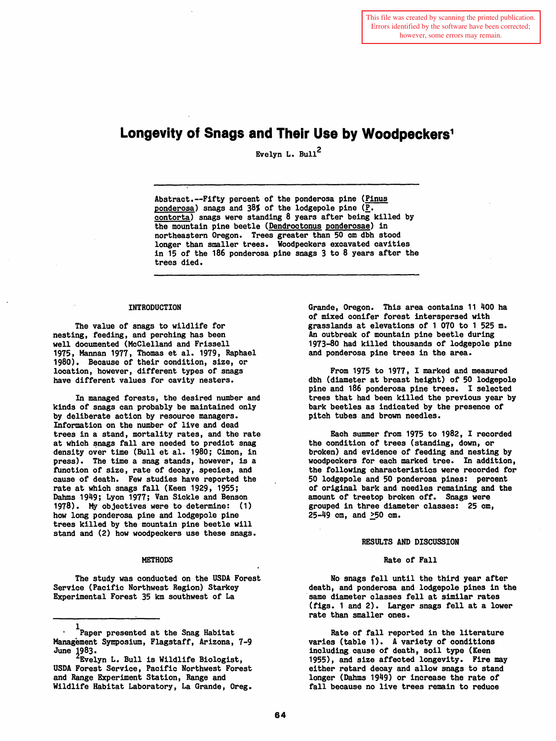# **Longevity of Snags and Their Use by Woodpeckers1**

Evelyn L. Bull<sup>2</sup>

Abstract.--Fifty percent of the ponderosa pine (Pinus ponderosa) snags and  $38\frac{1}{10}$  of the lodgepole pine ( $\overline{P}$ . contorta) snags were standing 8 years after being killed by the mountain pine beetle (Dendroctonus ponderosae) in northeastern Oregon. Trees greater than 50 em dbh stood longer than smaller trees. Woodpeckers excavated cavities in 15 of the 186 ponderosa pine snags 3 to 8 years after the trees died.

### INTRODUCTION

The value of snags to wildlife for nesting, feeding, and perching has been well documented (McClelland and Frissell 1975, Hannan 1977, Thomas et al. 1979, Raphael 1980). Because of their condition, size, or location, however, different types of snags have different values for cavity nesters.

In managed forests, the desired number and kinds of snags can probably be maintained only by deliberate action by resource managers. Information on the number of live and dead trees in a stand, mortality rates, and the rate at which snags fall are needed to predict snag density over time (Bull et al. 1980; Cimon, in press). The time a snag stands, however, is a fUnction of size, rate of decay, species, and cause of death. Few studies have reported the rate at which snags fall (Keen 1929, 1955; Dahms 1949; Lyon 1977; Van Sickle and Benson 1978). My objectives were to determine: (1) how long ponderosa pine and lodgepole pine trees killed by the mountain pine beetle will stand and (2) how woodpeckers use these snags.

#### **METHODS**

The study was conducted on the USDA Forest Service (Pacific Northwest Region) Starkey Experimental Forest 35 km southwest of La

Grande, Oregon. This area contains 11 400 ha of mixed conifer forest interspersed with grasslands at elevations of 1 070 to 1 525 m. An outbreak of mountain pine beetle during 1973-80 had killed thousands of lodgepole pine and ponderosa pine trees in the area.

From 1975 to 1977, I marked and measured dbh (diameter at breast height) of 50 lodgepole pine and 186 ponderosa pine trees. I selected trees that had been killed the previous year by bark beetles as indicated by the presence of pitch tubes and brown needles.

Each summer from 1975 to 1982, I recorded the condition of trees (standing, down, or broken) and evidence of feeding and nesting by woodpeckers for each marked tree. In addition, the following characteristics were recorded for 50 lodgepole and 50 ponderosa pines: percent of original bark and needles remaining and the amount of treetop broken off. Snags were grouped in three diameter classes: 25 em, 25-49 om, and ~50 em.

#### RESULTS AND DISCUSSION

### Rate of Fall

No snags fell until the third year after death, and ponderosa and lodgepole pines in the same diameter classes fell at similar rates (figs. 1 and 2). Larger snags fell at a lower rate than smaller ones.

Rate of fall reported in the literature varies (table 1). A variety of conditions including cause of death, soil type (Keen 1955), and size affected longevity. Fire may either retard decay and allow snags to stand longer (Dahms 1949) or increase the rate of fall because no live trees remain to reduce

<sup>1</sup>Paper presented at the Snag Habitat Management Symposium, Flagstaff, Arizona, 7-9

June 1983.<br><sup>2</sup>Evelyn L. Bull is Wildlife Biologist, USDA Forest Service, Pacific Northwest Forest and Range Experiment Station, Range and Wildlife Habitat Laboratory, La Grande, Oreg.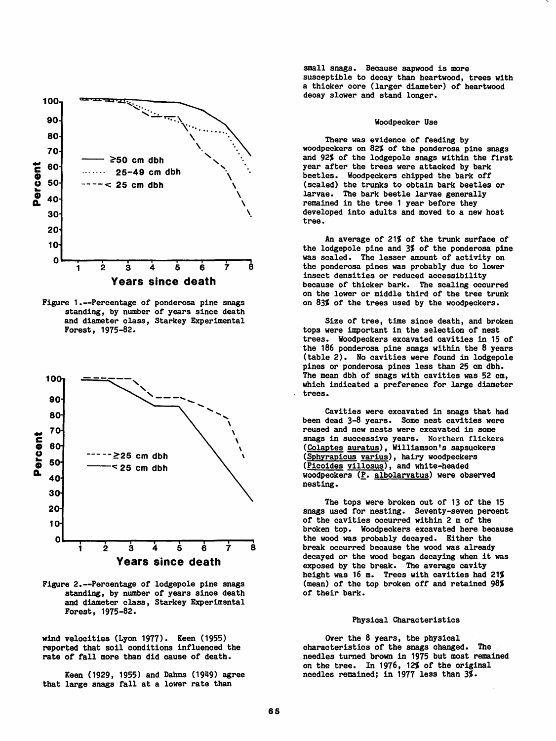

Figure 1.--Percentage of ponderosa pine snags standing, by number of years since death and diameter class, Starkey Experimental Forest, 1975-82.



Figure 2.--Percentage of lodgepole pine snags standing, by number of years since death and diameter class, Starkey Experimental Forest, 1975-82.

wind velocities (Lyon 1977). Keen (1955) reported that soil conditions influenced the rate of fall more than did cause of death.

Keen (1929, 1955) and Dahms (1949) agree that large snags fall at a lower rate than

small snags. Because sapwood is more susceptible to decay than heartwood, trees with a thicker core (larger diameter) of heartwood decay slower and stand longer.

## Woodpecker Use

There was evidence of feeding by woodpeckers on 82% of the ponderosa pine snags and 92% of the lodgepole snags within the first year after the trees were attacked by bark beetles. Woodpeckers chipped the bark off (scaled) the trunks to obtain bark beetles or larvae. The bark beetle larvae generally remained in the tree 1 year before they developed into adults and moved to a new host tree.

An average of 21% of the trunk surface of the lodgepole pine and 3% of the ponderosa pine was scaled. The lesser amount of activity on the ponderosa pines was probably due to lower insect densities or reduced accessibility because of thicker bark. The scaling occurred on the lower or middle third of the tree trunk on 83% of the trees used by the woodpeckers.

Size of tree, time since death, and broken tops were important in the selection of nest trees. Woodpeckers excavated cavities in 15 of the 186 ponderosa pine snags within the 8 years (table 2). No cavities were found in lodgepole pines or ponderosa pines less than 25 em dbh. The mean dbh of snags with cavities was 52 em, which indicated a preference for large diameter trees.

cavities were excavated in snags that had been dead 3-8 years. Some nest cavities were reused and new nests were excavated in some snags in successive years. Northern flickers (Colaptes auratus), Williamson's sapsuckers (Sphyrapicus varius), hairy woodpeckers (Picoides villosus), and white-headed woodpeckers (P. albolarvatus) were observed nesting.

The tops were broken out of 13 of the 15 snags used for nesting. Seventy-seven percent of the cavities occurred within 2 m of the broken top. Woodpeckers excavated here because the wood was probably decayed. Either the break occurred because the wood was already decayed or the wood began decaying when it was exposed by the break. The average cavity height was 16 m. Trees with cavities had  $21%$ (mean) of the top broken off and retained 98% or their bark.

# Physical Characteristics

Over the 8 years, the physical characteristics or the snags changed. The needles turned brown in 1975 but most remained on the tree. In 1976, 12% of the original needles remained; in 1977 less than 3%.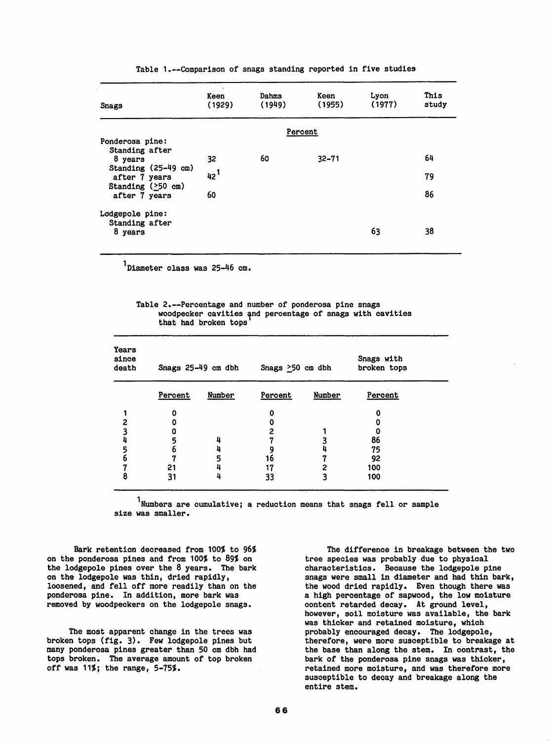| Snags                                | Keen<br>(1929) | Dahms<br>(1949) | Keen<br>(1955) | Lyon<br>(1977) | This<br>study |  |  |  |  |
|--------------------------------------|----------------|-----------------|----------------|----------------|---------------|--|--|--|--|
|                                      | Percent        |                 |                |                |               |  |  |  |  |
| Ponderosa pine:                      |                |                 |                |                |               |  |  |  |  |
| Standing after<br>8 years            | 32             | 60              | $32 - 71$      |                | 64            |  |  |  |  |
| Standing (25-49 cm)<br>after 7 years | $42^{1}$       |                 |                |                | 79            |  |  |  |  |
| Standing $(250 \text{ cm})$          |                |                 |                |                |               |  |  |  |  |
| after 7 years                        | 60             |                 |                |                | 86            |  |  |  |  |
| Lodgepole pine:                      |                |                 |                |                |               |  |  |  |  |
| Standing after<br>8 years            |                |                 |                | 63             | 38            |  |  |  |  |
|                                      |                |                 |                |                |               |  |  |  |  |

Table 1.--Comparison of snags standing reported in five studies

<sup>1</sup>Diameter class was 25-46 cm.

Table 2.--Percentage and number of ponderosa pine snags woodpecker cavities and percentage of snags with cavities that had broken tops

| <b>Years</b><br>since<br>death | Snags 25-49 cm dbh |        | Snags $\geq 50$ cm dbh |        | Snags with<br>broken tops |  |
|--------------------------------|--------------------|--------|------------------------|--------|---------------------------|--|
|                                | Percent            | Number | Percent                | Number | Percent                   |  |
|                                | 0                  |        | 0                      |        |                           |  |
|                                |                    |        |                        |        |                           |  |
|                                |                    |        | 2                      |        |                           |  |
|                                |                    |        |                        |        | 86                        |  |
|                                |                    |        |                        |        | 75                        |  |
| 6                              |                    |        | 16                     |        | 92                        |  |
|                                | 21                 |        | 17                     |        | 100                       |  |
| 8                              | 31                 |        | 33                     |        | 100                       |  |

 $1$ Numbers are cumulative; a reduction means that snags fell or sample size was smaller.

Bark retention decreased from 100% to 96% on the ponderosa pines and from 100% to 89% on the lodgepole pines over the 8 years. The bark on the lodgepole was thin, dried rapidly, loosened, and fell off more readily than on the ponderosa pine. In addition, more bark was removed by woodpeckers on the lodgepole snags.

The most apparent change in the trees was broken tops (fig. 3). Few lodgepole pines but many ponderosa pines greater than 50 em dbh had tops broken. The average amount of top broken off was  $11\frac{2}{3}$ ; the range,  $5-75\frac{2}{3}$ .

The difference in breakage between the two tree species was probably due to physical characteristics. Because the lodgepole pine snags were small in diameter and had thin bark, the wood dried rapidly. Even though there was a high percentage of sapwood, the low moisture content retarded decay. At ground level, however, soil moisture was available, the bark was thicker and retained moisture, which probably encouraged decay. The lodgepole, therefore, were more susceptible to breakage at the base than along the stem. In contrast, the bark of the ponderosa pine snags was thicker, retained more moisture, and was therefore more susceptible to decay and breakage along the entire stem.